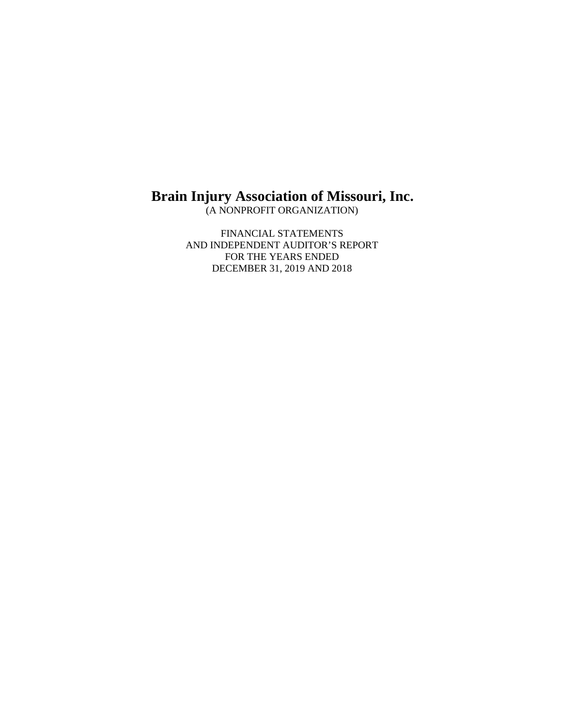# **Brain Injury Association of Missouri, Inc.**

(A NONPROFIT ORGANIZATION)

FINANCIAL STATEMENTS AND INDEPENDENT AUDITOR'S REPORT FOR THE YEARS ENDED DECEMBER 31, 2019 AND 2018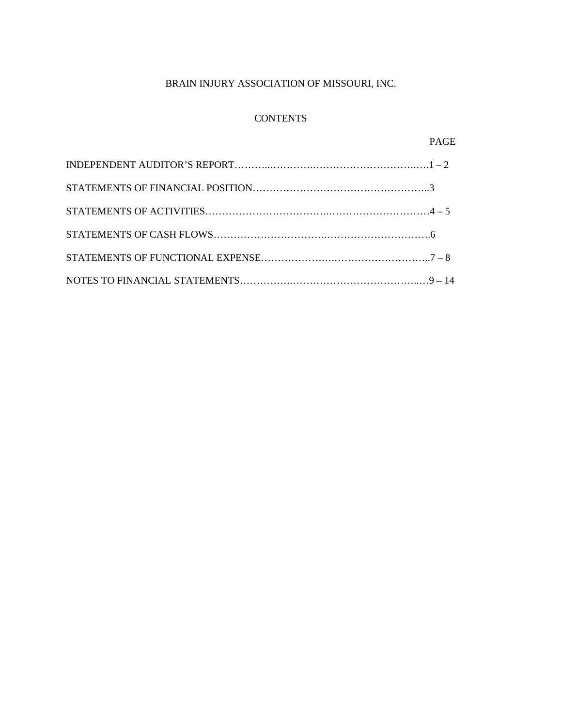# BRAIN INJURY ASSOCIATION OF MISSOURI, INC.

# **CONTENTS**

| <b>PAGE</b> |
|-------------|
|-------------|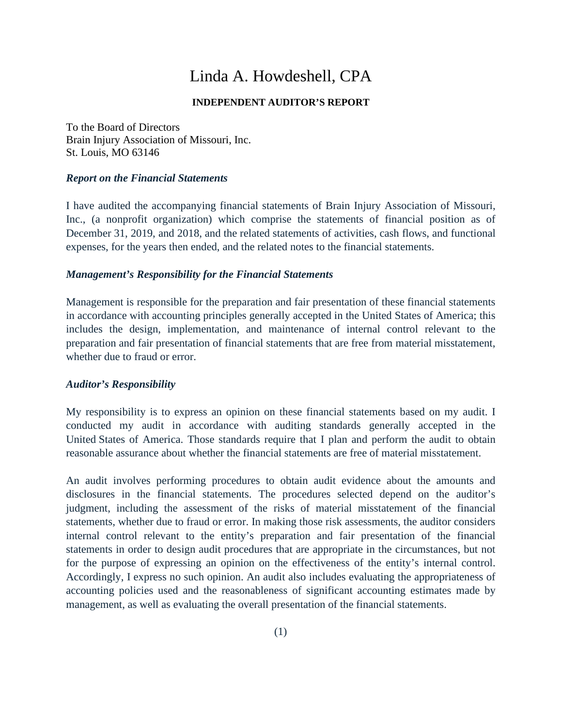# Linda A. Howdeshell, CPA

#### **INDEPENDENT AUDITOR'S REPORT**

To the Board of Directors Brain Injury Association of Missouri, Inc. St. Louis, MO 63146

#### *Report on the Financial Statements*

I have audited the accompanying financial statements of Brain Injury Association of Missouri, Inc., (a nonprofit organization) which comprise the statements of financial position as of December 31, 2019, and 2018, and the related statements of activities, cash flows, and functional expenses, for the years then ended, and the related notes to the financial statements.

#### *Management's Responsibility for the Financial Statements*

Management is responsible for the preparation and fair presentation of these financial statements in accordance with accounting principles generally accepted in the United States of America; this includes the design, implementation, and maintenance of internal control relevant to the preparation and fair presentation of financial statements that are free from material misstatement, whether due to fraud or error.

#### *Auditor's Responsibility*

My responsibility is to express an opinion on these financial statements based on my audit. I conducted my audit in accordance with auditing standards generally accepted in the United States of America. Those standards require that I plan and perform the audit to obtain reasonable assurance about whether the financial statements are free of material misstatement.

An audit involves performing procedures to obtain audit evidence about the amounts and disclosures in the financial statements. The procedures selected depend on the auditor's judgment, including the assessment of the risks of material misstatement of the financial statements, whether due to fraud or error. In making those risk assessments, the auditor considers internal control relevant to the entity's preparation and fair presentation of the financial statements in order to design audit procedures that are appropriate in the circumstances, but not for the purpose of expressing an opinion on the effectiveness of the entity's internal control. Accordingly, I express no such opinion. An audit also includes evaluating the appropriateness of accounting policies used and the reasonableness of significant accounting estimates made by management, as well as evaluating the overall presentation of the financial statements.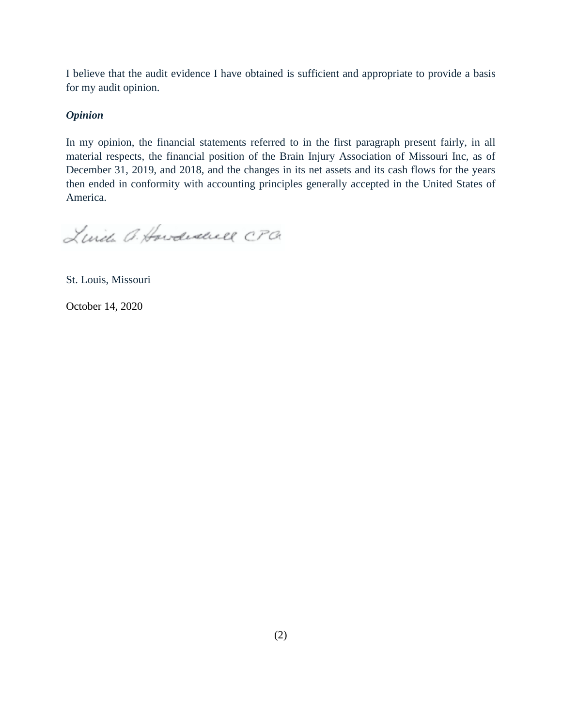I believe that the audit evidence I have obtained is sufficient and appropriate to provide a basis for my audit opinion.

# *Opinion*

In my opinion, the financial statements referred to in the first paragraph present fairly, in all material respects, the financial position of the Brain Injury Association of Missouri Inc, as of December 31, 2019, and 2018, and the changes in its net assets and its cash flows for the years then ended in conformity with accounting principles generally accepted in the United States of America.

Luid O. Hardesliell CPG

St. Louis, Missouri

October 14, 2020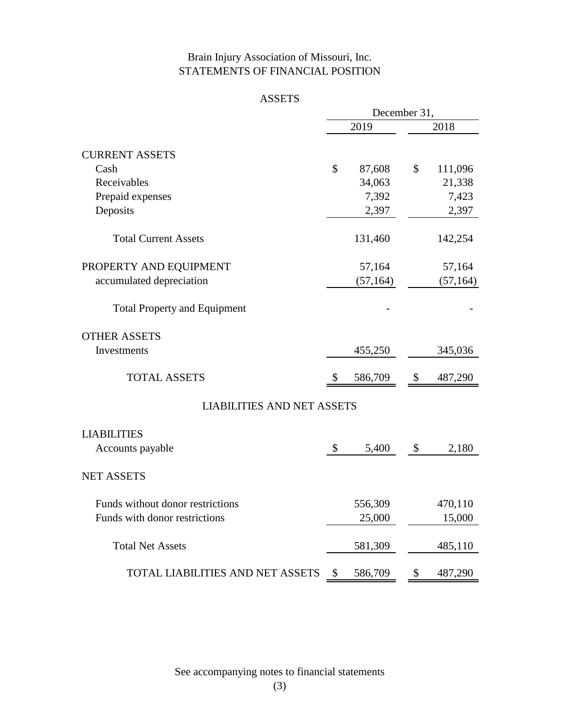# Brain Injury Association of Missouri, Inc. STATEMENTS OF FINANCIAL POSITION

# ASSETS

|                                     | December 31, |           |    |           |  |
|-------------------------------------|--------------|-----------|----|-----------|--|
|                                     |              | 2019      |    | 2018      |  |
| <b>CURRENT ASSETS</b>               |              |           |    |           |  |
| Cash                                | \$           | 87,608    | \$ | 111,096   |  |
| Receivables                         |              | 34,063    |    | 21,338    |  |
| Prepaid expenses                    |              | 7,392     |    | 7,423     |  |
| Deposits                            |              | 2,397     |    | 2,397     |  |
| <b>Total Current Assets</b>         |              | 131,460   |    | 142,254   |  |
| PROPERTY AND EQUIPMENT              |              | 57,164    |    | 57,164    |  |
| accumulated depreciation            |              | (57, 164) |    | (57, 164) |  |
| <b>Total Property and Equipment</b> |              |           |    |           |  |
| <b>OTHER ASSETS</b>                 |              |           |    |           |  |
| Investments                         |              | 455,250   |    | 345,036   |  |
| <b>TOTAL ASSETS</b>                 | \$           | 586,709   | \$ | 487,290   |  |
| <b>LIABILITIES AND NET ASSETS</b>   |              |           |    |           |  |
| <b>LIABILITIES</b>                  |              |           |    |           |  |
| Accounts payable                    | \$           | 5,400     | \$ | 2,180     |  |
| <b>NET ASSETS</b>                   |              |           |    |           |  |
| Funds without donor restrictions    |              | 556,309   |    | 470,110   |  |
| Funds with donor restrictions       |              | 25,000    |    | 15,000    |  |
| <b>Total Net Assets</b>             |              | 581,309   |    | 485,110   |  |
| TOTAL LIABILITIES AND NET ASSETS    | \$           | 586,709   | \$ | 487,290   |  |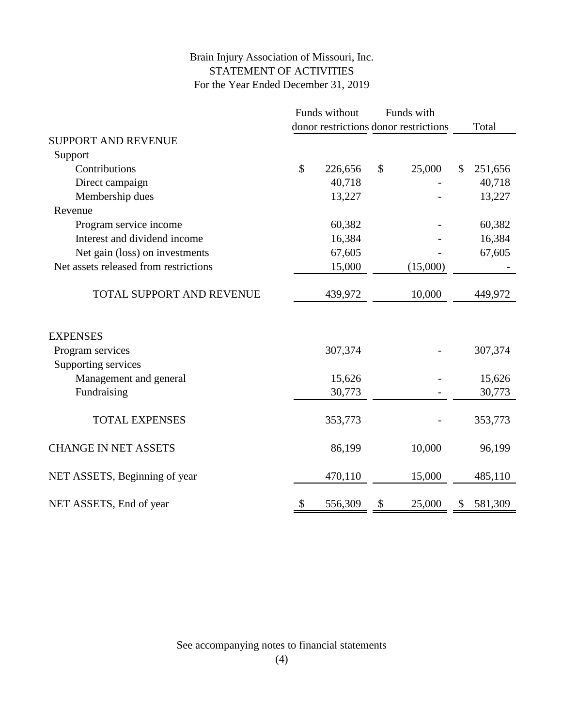# Brain Injury Association of Missouri, Inc. STATEMENT OF ACTIVITIES For the Year Ended December 31, 2019

|                                       |                           | Funds without                         |               | Funds with |               |
|---------------------------------------|---------------------------|---------------------------------------|---------------|------------|---------------|
|                                       |                           | donor restrictions donor restrictions |               |            | Total         |
| <b>SUPPORT AND REVENUE</b>            |                           |                                       |               |            |               |
| Support                               |                           |                                       |               |            |               |
| Contributions                         | \$                        | 226,656                               | $\mathcal{S}$ | 25,000     | \$<br>251,656 |
| Direct campaign                       |                           | 40,718                                |               |            | 40,718        |
| Membership dues                       |                           | 13,227                                |               |            | 13,227        |
| Revenue                               |                           |                                       |               |            |               |
| Program service income                |                           | 60,382                                |               |            | 60,382        |
| Interest and dividend income          |                           | 16,384                                |               |            | 16,384        |
| Net gain (loss) on investments        |                           | 67,605                                |               |            | 67,605        |
| Net assets released from restrictions |                           | 15,000                                |               | (15,000)   |               |
| TOTAL SUPPORT AND REVENUE             |                           | 439,972                               |               | 10,000     | 449,972       |
| <b>EXPENSES</b>                       |                           |                                       |               |            |               |
| Program services                      |                           | 307,374                               |               |            | 307,374       |
| Supporting services                   |                           |                                       |               |            |               |
| Management and general                |                           | 15,626                                |               |            | 15,626        |
| Fundraising                           |                           | 30,773                                |               |            | 30,773        |
| <b>TOTAL EXPENSES</b>                 |                           | 353,773                               |               |            | 353,773       |
| <b>CHANGE IN NET ASSETS</b>           |                           | 86,199                                |               | 10,000     | 96,199        |
| NET ASSETS, Beginning of year         |                           | 470,110                               |               | 15,000     | 485,110       |
| NET ASSETS, End of year               | $\boldsymbol{\mathsf{S}}$ | 556,309                               | \$            | 25,000     | \$<br>581,309 |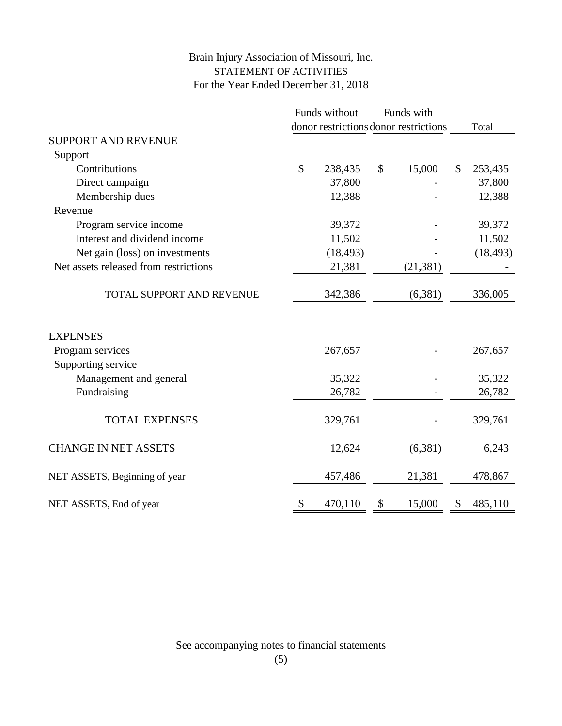# Brain Injury Association of Missouri, Inc. For the Year Ended December 31, 2018 STATEMENT OF ACTIVITIES

|                                       | Funds without                         |    | Funds with |               |
|---------------------------------------|---------------------------------------|----|------------|---------------|
|                                       | donor restrictions donor restrictions |    |            | Total         |
| <b>SUPPORT AND REVENUE</b>            |                                       |    |            |               |
| Support                               |                                       |    |            |               |
| Contributions                         | \$<br>238,435                         | \$ | 15,000     | \$<br>253,435 |
| Direct campaign                       | 37,800                                |    |            | 37,800        |
| Membership dues                       | 12,388                                |    |            | 12,388        |
| Revenue                               |                                       |    |            |               |
| Program service income                | 39,372                                |    |            | 39,372        |
| Interest and dividend income          | 11,502                                |    |            | 11,502        |
| Net gain (loss) on investments        | (18, 493)                             |    |            | (18, 493)     |
| Net assets released from restrictions | 21,381                                |    | (21, 381)  |               |
| TOTAL SUPPORT AND REVENUE             | 342,386                               |    | (6,381)    | 336,005       |
|                                       |                                       |    |            |               |
| <b>EXPENSES</b>                       |                                       |    |            |               |
| Program services                      | 267,657                               |    |            | 267,657       |
| Supporting service                    |                                       |    |            |               |
| Management and general                | 35,322                                |    |            | 35,322        |
| Fundraising                           | 26,782                                |    |            | 26,782        |
| <b>TOTAL EXPENSES</b>                 | 329,761                               |    |            | 329,761       |
| <b>CHANGE IN NET ASSETS</b>           | 12,624                                |    | (6,381)    | 6,243         |
| NET ASSETS, Beginning of year         | 457,486                               |    | 21,381     | 478,867       |
| NET ASSETS, End of year               | \$<br>470,110                         | \$ | 15,000     | \$<br>485,110 |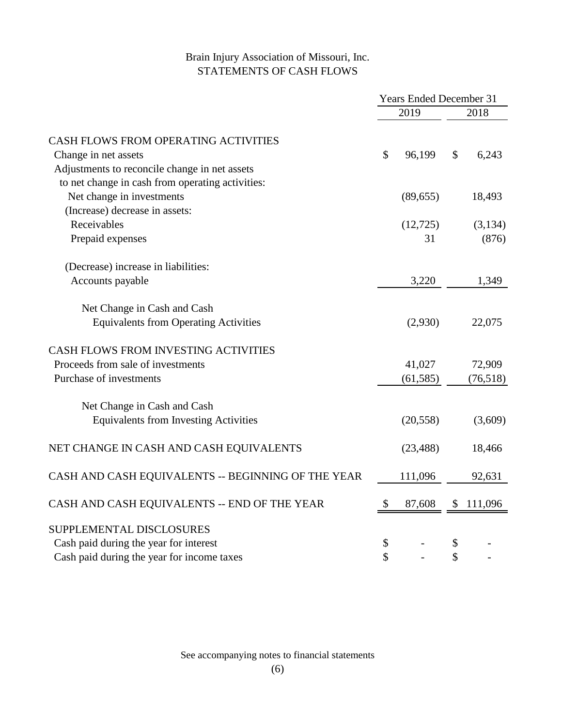# Brain Injury Association of Missouri, Inc. STATEMENTS OF CASH FLOWS

|                                                                                                                  | <b>Years Ended December 31</b> |                     |          |                    |
|------------------------------------------------------------------------------------------------------------------|--------------------------------|---------------------|----------|--------------------|
|                                                                                                                  |                                | 2019                |          | 2018               |
| CASH FLOWS FROM OPERATING ACTIVITIES<br>Change in net assets<br>Adjustments to reconcile change in net assets    |                                | 96,199              | \$       | 6,243              |
| to net change in cash from operating activities:<br>Net change in investments<br>(Increase) decrease in assets:  |                                | (89, 655)           |          | 18,493             |
| Receivables<br>Prepaid expenses                                                                                  |                                | (12, 725)<br>31     |          | (3,134)<br>(876)   |
| (Decrease) increase in liabilities:<br>Accounts payable                                                          |                                | 3,220               |          | 1,349              |
| Net Change in Cash and Cash<br><b>Equivalents from Operating Activities</b>                                      |                                | (2,930)             |          | 22,075             |
| CASH FLOWS FROM INVESTING ACTIVITIES<br>Proceeds from sale of investments<br>Purchase of investments             |                                | 41,027<br>(61, 585) |          | 72,909<br>(76,518) |
| Net Change in Cash and Cash<br><b>Equivalents from Investing Activities</b>                                      |                                | (20, 558)           |          | (3,609)            |
| NET CHANGE IN CASH AND CASH EQUIVALENTS                                                                          |                                | (23, 488)           |          | 18,466             |
| CASH AND CASH EQUIVALENTS -- BEGINNING OF THE YEAR                                                               |                                | 111,096             |          | 92,631             |
| CASH AND CASH EQUIVALENTS -- END OF THE YEAR                                                                     | \$                             | 87,608              | \$       | 111,096            |
| SUPPLEMENTAL DISCLOSURES<br>Cash paid during the year for interest<br>Cash paid during the year for income taxes | \$<br>\$                       |                     | \$<br>\$ |                    |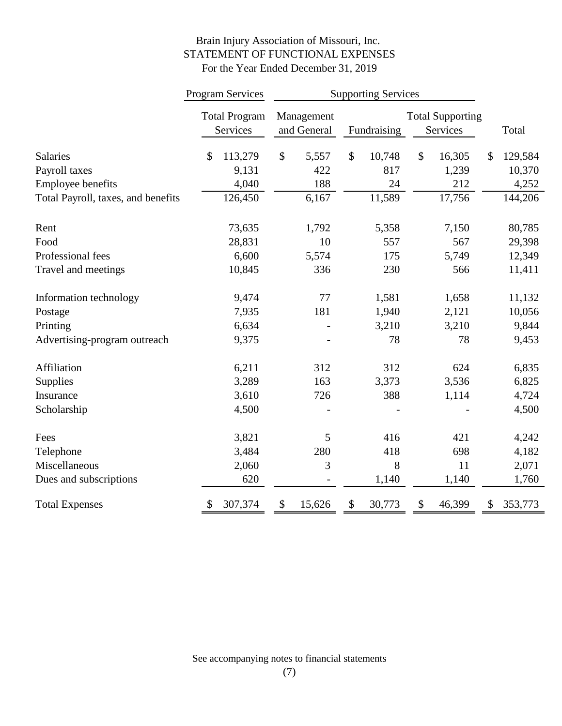# Brain Injury Association of Missouri, Inc. STATEMENT OF FUNCTIONAL EXPENSES For the Year Ended December 31, 2019

|                                    | <b>Program Services</b>          | <b>Supporting Services</b> |                                                    |               |
|------------------------------------|----------------------------------|----------------------------|----------------------------------------------------|---------------|
|                                    | <b>Total Program</b><br>Services | Management<br>and General  | <b>Total Supporting</b><br>Fundraising<br>Services | Total         |
| Salaries                           | 113,279<br>\$                    | \$<br>5,557                | \$<br>10,748<br>\$<br>16,305                       | \$<br>129,584 |
| Payroll taxes                      | 9,131                            | 422                        | 817<br>1,239                                       | 10,370        |
| <b>Employee benefits</b>           | 4,040                            | 188                        | 212<br>24                                          | 4,252         |
| Total Payroll, taxes, and benefits | 126,450                          | 6,167                      | 11,589<br>17,756                                   | 144,206       |
| Rent                               | 73,635                           | 1,792                      | 5,358<br>7,150                                     | 80,785        |
| Food                               | 28,831                           | 10                         | 557<br>567                                         | 29,398        |
| Professional fees                  | 6,600                            | 5,574                      | 5,749<br>175                                       | 12,349        |
| Travel and meetings                | 10,845                           | 336                        | 230<br>566                                         | 11,411        |
| Information technology             | 9,474                            | 77                         | 1,581<br>1,658                                     | 11,132        |
| Postage                            | 7,935                            | 181                        | 1,940<br>2,121                                     | 10,056        |
| Printing                           | 6,634                            |                            | 3,210<br>3,210                                     | 9,844         |
| Advertising-program outreach       | 9,375                            |                            | 78<br>78                                           | 9,453         |
| Affiliation                        | 6,211                            | 312                        | 624<br>312                                         | 6,835         |
| Supplies                           | 3,289                            | 163                        | 3,536<br>3,373                                     | 6,825         |
| Insurance                          | 3,610                            | 726                        | 388<br>1,114                                       | 4,724         |
| Scholarship                        | 4,500                            |                            |                                                    | 4,500         |
| Fees                               | 3,821                            | 5                          | 416<br>421                                         | 4,242         |
| Telephone                          | 3,484                            | 280                        | 418<br>698                                         | 4,182         |
| Miscellaneous                      | 2,060                            | 3                          | 8<br>11                                            | 2,071         |
| Dues and subscriptions             | 620                              |                            | 1,140<br>1,140                                     | 1,760         |
| <b>Total Expenses</b>              | 307,374<br>\$                    | 15,626<br>\$               | \$<br>30,773<br>46,399<br>\$                       | 353,773<br>\$ |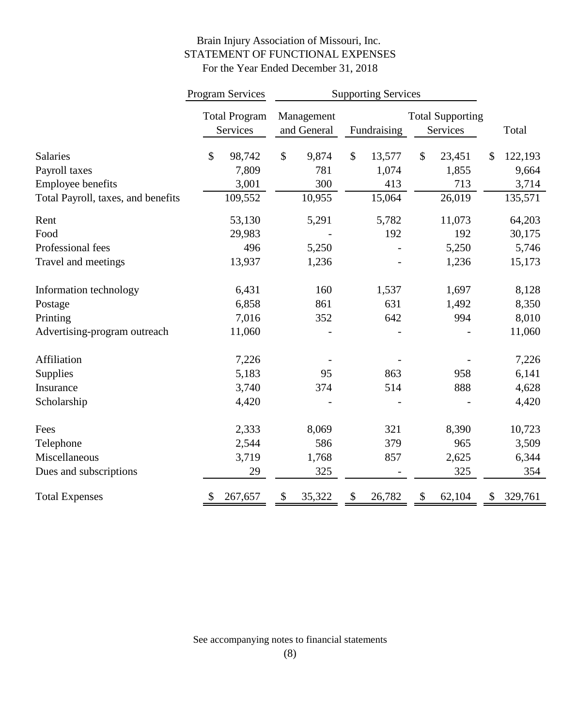# For the Year Ended December 31, 2018 Brain Injury Association of Missouri, Inc. STATEMENT OF FUNCTIONAL EXPENSES

|                                    | <b>Program Services</b>          | <b>Supporting Services</b> |                           |    |             |                           |                                     |               |
|------------------------------------|----------------------------------|----------------------------|---------------------------|----|-------------|---------------------------|-------------------------------------|---------------|
|                                    | <b>Total Program</b><br>Services |                            | Management<br>and General |    | Fundraising |                           | <b>Total Supporting</b><br>Services | Total         |
| <b>Salaries</b>                    | \$<br>98,742                     | \$                         | 9,874                     | \$ | 13,577      | \$                        | 23,451                              | \$<br>122,193 |
| Payroll taxes                      | 7,809                            |                            | 781                       |    | 1,074       |                           | 1,855                               | 9,664         |
| <b>Employee benefits</b>           | 3,001                            |                            | 300                       |    | 413         |                           | 713                                 | 3,714         |
| Total Payroll, taxes, and benefits | 109,552                          |                            | 10,955                    |    | 15,064      |                           | 26,019                              | 135,571       |
| Rent                               | 53,130                           |                            | 5,291                     |    | 5,782       |                           | 11,073                              | 64,203        |
| Food                               | 29,983                           |                            |                           |    | 192         |                           | 192                                 | 30,175        |
| Professional fees                  | 496                              |                            | 5,250                     |    |             |                           | 5,250                               | 5,746         |
| Travel and meetings                | 13,937                           |                            | 1,236                     |    |             |                           | 1,236                               | 15,173        |
| Information technology             | 6,431                            |                            | 160                       |    | 1,537       |                           | 1,697                               | 8,128         |
| Postage                            | 6,858                            |                            | 861                       |    | 631         |                           | 1,492                               | 8,350         |
| Printing                           | 7,016                            |                            | 352                       |    | 642         |                           | 994                                 | 8,010         |
| Advertising-program outreach       | 11,060                           |                            |                           |    |             |                           |                                     | 11,060        |
| Affiliation                        | 7,226                            |                            |                           |    |             |                           |                                     | 7,226         |
| Supplies                           | 5,183                            |                            | 95                        |    | 863         |                           | 958                                 | 6,141         |
| Insurance                          | 3,740                            |                            | 374                       |    | 514         |                           | 888                                 | 4,628         |
| Scholarship                        | 4,420                            |                            |                           |    |             |                           |                                     | 4,420         |
| Fees                               | 2,333                            |                            | 8,069                     |    | 321         |                           | 8,390                               | 10,723        |
| Telephone                          | 2,544                            |                            | 586                       |    | 379         |                           | 965                                 | 3,509         |
| Miscellaneous                      | 3,719                            |                            | 1,768                     |    | 857         |                           | 2,625                               | 6,344         |
| Dues and subscriptions             | 29                               |                            | 325                       |    |             |                           | 325                                 | 354           |
| <b>Total Expenses</b>              | \$<br>267,657                    | \$                         | 35,322                    | \$ | 26,782      | $\boldsymbol{\mathsf{S}}$ | 62,104                              | \$<br>329,761 |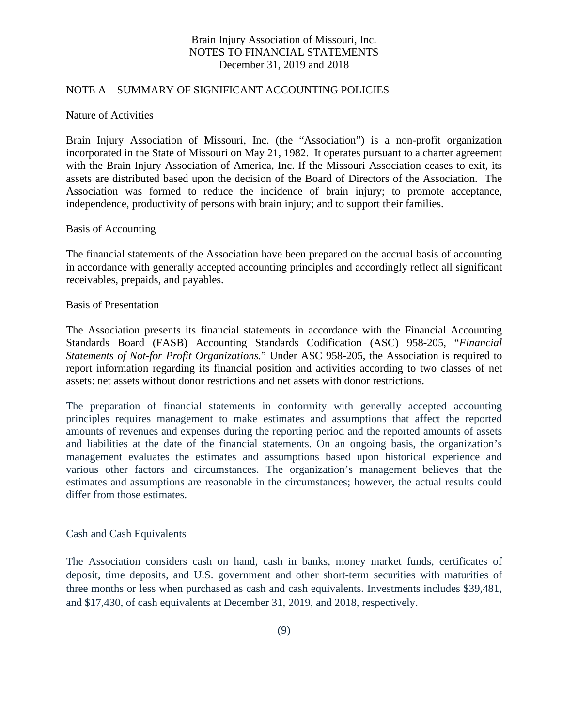#### NOTE A – SUMMARY OF SIGNIFICANT ACCOUNTING POLICIES

#### Nature of Activities

Brain Injury Association of Missouri, Inc. (the "Association") is a non-profit organization incorporated in the State of Missouri on May 21, 1982. It operates pursuant to a charter agreement with the Brain Injury Association of America, Inc. If the Missouri Association ceases to exit, its assets are distributed based upon the decision of the Board of Directors of the Association. The Association was formed to reduce the incidence of brain injury; to promote acceptance, independence, productivity of persons with brain injury; and to support their families.

#### Basis of Accounting

The financial statements of the Association have been prepared on the accrual basis of accounting in accordance with generally accepted accounting principles and accordingly reflect all significant receivables, prepaids, and payables.

#### Basis of Presentation

The Association presents its financial statements in accordance with the Financial Accounting Standards Board (FASB) Accounting Standards Codification (ASC) 958-205, "*Financial Statements of Not-for Profit Organizations.*" Under ASC 958-205, the Association is required to report information regarding its financial position and activities according to two classes of net assets: net assets without donor restrictions and net assets with donor restrictions.

The preparation of financial statements in conformity with generally accepted accounting principles requires management to make estimates and assumptions that affect the reported amounts of revenues and expenses during the reporting period and the reported amounts of assets and liabilities at the date of the financial statements. On an ongoing basis, the organization's management evaluates the estimates and assumptions based upon historical experience and various other factors and circumstances. The organization's management believes that the estimates and assumptions are reasonable in the circumstances; however, the actual results could differ from those estimates.

#### Cash and Cash Equivalents

The Association considers cash on hand, cash in banks, money market funds, certificates of deposit, time deposits, and U.S. government and other short-term securities with maturities of three months or less when purchased as cash and cash equivalents. Investments includes \$39,481, and \$17,430, of cash equivalents at December 31, 2019, and 2018, respectively.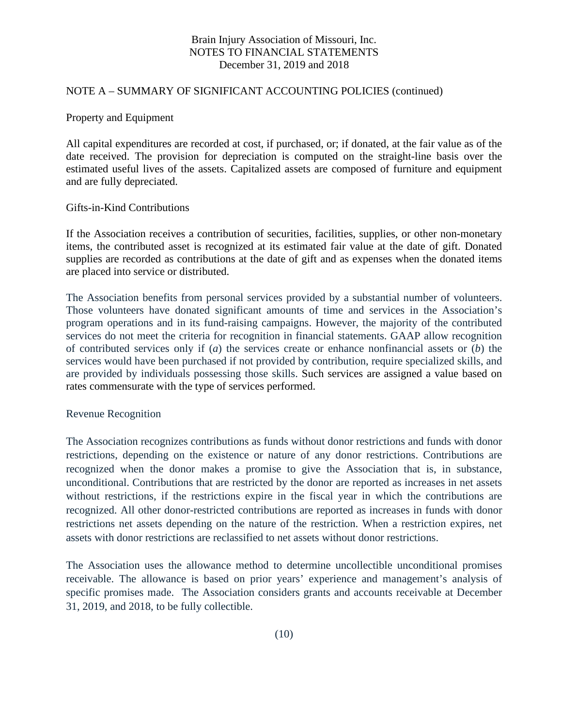#### NOTE A – SUMMARY OF SIGNIFICANT ACCOUNTING POLICIES (continued)

#### Property and Equipment

All capital expenditures are recorded at cost, if purchased, or; if donated, at the fair value as of the date received. The provision for depreciation is computed on the straight-line basis over the estimated useful lives of the assets. Capitalized assets are composed of furniture and equipment and are fully depreciated.

#### Gifts-in-Kind Contributions

If the Association receives a contribution of securities, facilities, supplies, or other non-monetary items, the contributed asset is recognized at its estimated fair value at the date of gift. Donated supplies are recorded as contributions at the date of gift and as expenses when the donated items are placed into service or distributed.

The Association benefits from personal services provided by a substantial number of volunteers. Those volunteers have donated significant amounts of time and services in the Association's program operations and in its fund-raising campaigns. However, the majority of the contributed services do not meet the criteria for recognition in financial statements. GAAP allow recognition of contributed services only if (*a*) the services create or enhance nonfinancial assets or (*b*) the services would have been purchased if not provided by contribution, require specialized skills, and are provided by individuals possessing those skills. Such services are assigned a value based on rates commensurate with the type of services performed.

#### Revenue Recognition

The Association recognizes contributions as funds without donor restrictions and funds with donor restrictions, depending on the existence or nature of any donor restrictions. Contributions are recognized when the donor makes a promise to give the Association that is, in substance, unconditional. Contributions that are restricted by the donor are reported as increases in net assets without restrictions, if the restrictions expire in the fiscal year in which the contributions are recognized. All other donor-restricted contributions are reported as increases in funds with donor restrictions net assets depending on the nature of the restriction. When a restriction expires, net assets with donor restrictions are reclassified to net assets without donor restrictions.

The Association uses the allowance method to determine uncollectible unconditional promises receivable. The allowance is based on prior years' experience and management's analysis of specific promises made. The Association considers grants and accounts receivable at December 31, 2019, and 2018, to be fully collectible.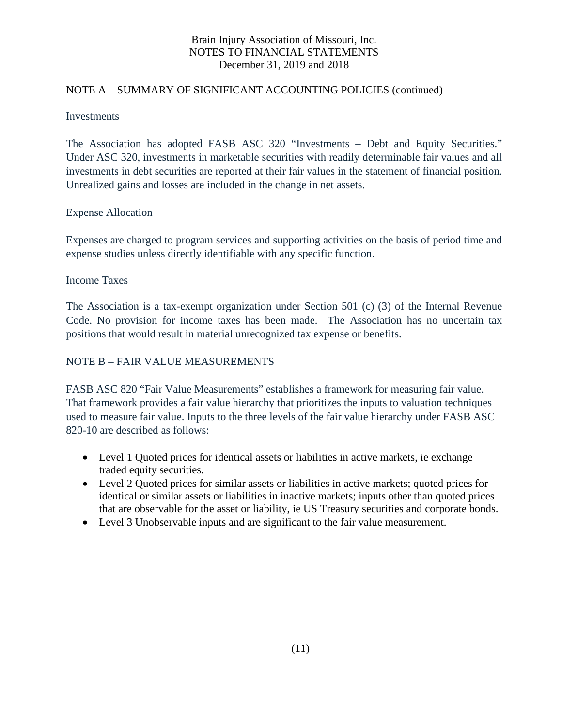### NOTE A – SUMMARY OF SIGNIFICANT ACCOUNTING POLICIES (continued)

### **Investments**

The Association has adopted FASB ASC 320 "Investments – Debt and Equity Securities." Under ASC 320, investments in marketable securities with readily determinable fair values and all investments in debt securities are reported at their fair values in the statement of financial position. Unrealized gains and losses are included in the change in net assets.

### Expense Allocation

Expenses are charged to program services and supporting activities on the basis of period time and expense studies unless directly identifiable with any specific function.

#### Income Taxes

The Association is a tax-exempt organization under Section 501 (c) (3) of the Internal Revenue Code. No provision for income taxes has been made. The Association has no uncertain tax positions that would result in material unrecognized tax expense or benefits.

### NOTE B – FAIR VALUE MEASUREMENTS

FASB ASC 820 "Fair Value Measurements" establishes a framework for measuring fair value. That framework provides a fair value hierarchy that prioritizes the inputs to valuation techniques used to measure fair value. Inputs to the three levels of the fair value hierarchy under FASB ASC 820-10 are described as follows:

- Level 1 Quoted prices for identical assets or liabilities in active markets, ie exchange traded equity securities.
- Level 2 Quoted prices for similar assets or liabilities in active markets; quoted prices for identical or similar assets or liabilities in inactive markets; inputs other than quoted prices that are observable for the asset or liability, ie US Treasury securities and corporate bonds.
- Level 3 Unobservable inputs and are significant to the fair value measurement.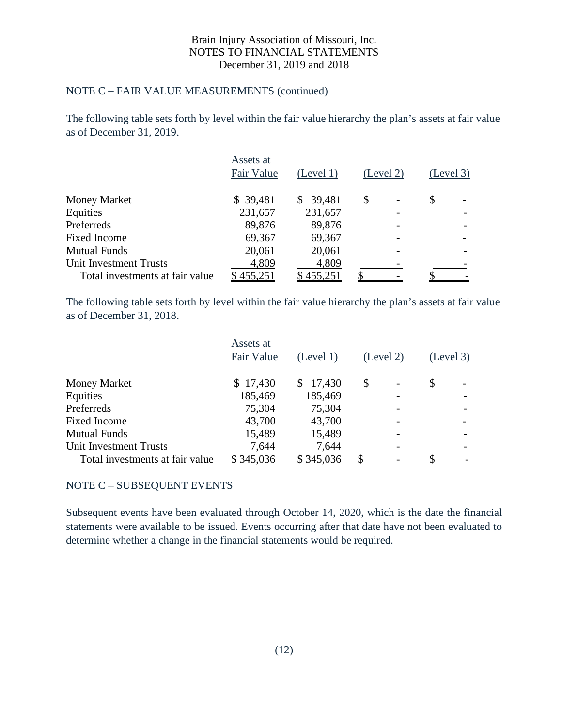### NOTE C – FAIR VALUE MEASUREMENTS (continued)

The following table sets forth by level within the fair value hierarchy the plan's assets at fair value as of December 31, 2019.

|                                 | Assets at  |                  |           |           |
|---------------------------------|------------|------------------|-----------|-----------|
|                                 | Fair Value | (Level 1)        | (Level 2) | (Level 3) |
| <b>Money Market</b>             | \$ 39,481  | \$39,481         | \$        |           |
| Equities                        | 231,657    | 231,657          |           |           |
| Preferreds                      | 89,876     | 89,876           |           |           |
| <b>Fixed Income</b>             | 69,367     | 69,367           |           |           |
| <b>Mutual Funds</b>             | 20,061     | 20,061           |           |           |
| <b>Unit Investment Trusts</b>   | 4,809      | 4,809            |           |           |
| Total investments at fair value | \$455,251  | <u>\$455,251</u> |           |           |

The following table sets forth by level within the fair value hierarchy the plan's assets at fair value as of December 31, 2018.

|                                 | Assets at  |           |           |           |
|---------------------------------|------------|-----------|-----------|-----------|
|                                 | Fair Value | (Level 1) | (Level 2) | (Level 3) |
| <b>Money Market</b>             | \$17,430   | 17,430    |           | \$        |
| Equities                        | 185,469    | 185,469   |           |           |
| Preferreds                      | 75,304     | 75,304    |           |           |
| <b>Fixed Income</b>             | 43,700     | 43,700    |           |           |
| <b>Mutual Funds</b>             | 15,489     | 15,489    |           |           |
| Unit Investment Trusts          | 7,644      | 7,644     |           |           |
| Total investments at fair value | \$345,036  | \$345,036 |           |           |

### NOTE C – SUBSEQUENT EVENTS

Subsequent events have been evaluated through October 14, 2020, which is the date the financial statements were available to be issued. Events occurring after that date have not been evaluated to determine whether a change in the financial statements would be required.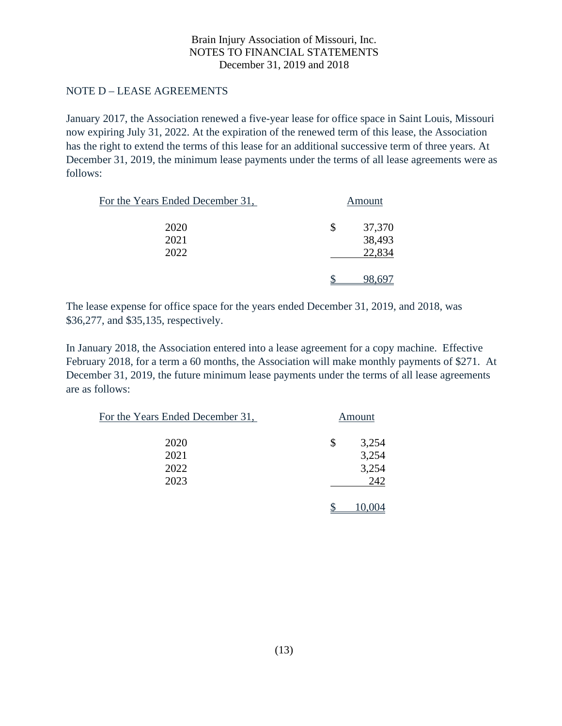### NOTE D – LEASE AGREEMENTS

January 2017, the Association renewed a five-year lease for office space in Saint Louis, Missouri now expiring July 31, 2022. At the expiration of the renewed term of this lease, the Association has the right to extend the terms of this lease for an additional successive term of three years. At December 31, 2019, the minimum lease payments under the terms of all lease agreements were as follows:

| For the Years Ended December 31, | Amount       |  |  |
|----------------------------------|--------------|--|--|
| 2020                             | \$<br>37,370 |  |  |
| 2021                             | 38,493       |  |  |
| 2022                             | 22,834       |  |  |
|                                  |              |  |  |
|                                  |              |  |  |

The lease expense for office space for the years ended December 31, 2019, and 2018, was \$36,277, and \$35,135, respectively.

In January 2018, the Association entered into a lease agreement for a copy machine. Effective February 2018, for a term a 60 months, the Association will make monthly payments of \$271. At December 31, 2019, the future minimum lease payments under the terms of all lease agreements are as follows:

| For the Years Ended December 31, | Amount |       |  |
|----------------------------------|--------|-------|--|
| 2020                             | \$     | 3,254 |  |
| 2021                             |        | 3,254 |  |
| 2022                             |        | 3,254 |  |
| 2023                             |        | 242   |  |
|                                  |        |       |  |